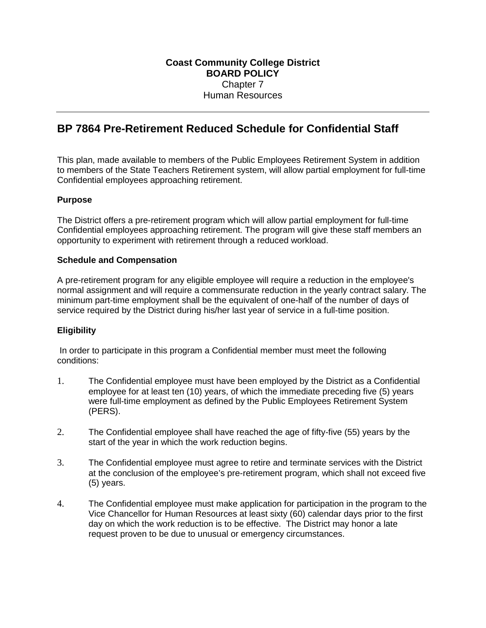# **BP 7864 Pre-Retirement Reduced Schedule for Confidential Staff**

This plan, made available to members of the Public Employees Retirement System in addition to members of the State Teachers Retirement system, will allow partial employment for full-time Confidential employees approaching retirement.

## **Purpose**

The District offers a pre-retirement program which will allow partial employment for full-time Confidential employees approaching retirement. The program will give these staff members an opportunity to experiment with retirement through a reduced workload.

## **Schedule and Compensation**

A pre-retirement program for any eligible employee will require a reduction in the employee's normal assignment and will require a commensurate reduction in the yearly contract salary. The minimum part-time employment shall be the equivalent of one-half of the number of days of service required by the District during his/her last year of service in a full-time position.

## **Eligibility**

In order to participate in this program a Confidential member must meet the following conditions:

- 1. The Confidential employee must have been employed by the District as a Confidential employee for at least ten (10) years, of which the immediate preceding five (5) years were full-time employment as defined by the Public Employees Retirement System (PERS).
- 2. The Confidential employee shall have reached the age of fifty-five (55) years by the start of the year in which the work reduction begins.
- 3. The Confidential employee must agree to retire and terminate services with the District at the conclusion of the employee's pre-retirement program, which shall not exceed five (5) years.
- 4. The Confidential employee must make application for participation in the program to the Vice Chancellor for Human Resources at least sixty (60) calendar days prior to the first day on which the work reduction is to be effective. The District may honor a late request proven to be due to unusual or emergency circumstances.